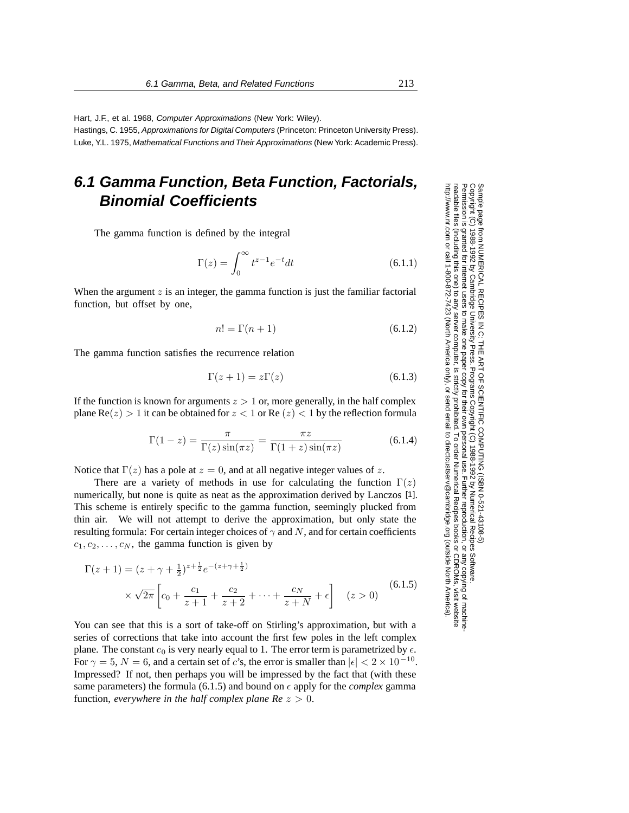Hart, J.F., et al. 1968, Computer Approximations (New York: Wiley).

Hastings, C. 1955, Approximations for Digital Computers (Princeton: Princeton University Press). Luke, Y.L. 1975, Mathematical Functions and Their Approximations (New York: Academic Press).

## **6.1 Gamma Function, Beta Function, Factorials, Binomial Coefficients**

The gamma function is defined by the integral

$$
\Gamma(z) = \int_0^\infty t^{z-1} e^{-t} dt \tag{6.1.1}
$$

When the argument  $z$  is an integer, the gamma function is just the familiar factorial function, but offset by one,

$$
n! = \Gamma(n+1) \tag{6.1.2}
$$

The gamma function satisfies the recurrence relation

$$
\Gamma(z+1) = z\Gamma(z) \tag{6.1.3}
$$

If the function is known for arguments  $z > 1$  or, more generally, in the half complex plane  $\text{Re}(z) > 1$  it can be obtained for  $z < 1$  or  $\text{Re}(z) < 1$  by the reflection formula

$$
\Gamma(1-z) = \frac{\pi}{\Gamma(z)\sin(\pi z)} = \frac{\pi z}{\Gamma(1+z)\sin(\pi z)}
$$
(6.1.4)

Notice that  $\Gamma(z)$  has a pole at  $z = 0$ , and at all negative integer values of z.

There are a variety of methods in use for calculating the function  $\Gamma(z)$ numerically, but none is quite as neat as the approximation derived by Lanczos [1]. This scheme is entirely specific to the gamma function, seemingly plucked from thin air. We will not attempt to derive the approximation, but only state the resulting formula: For certain integer choices of  $\gamma$  and N, and for certain coefficients  $c_1, c_2, \ldots, c_N$ , the gamma function is given by

$$
\Gamma(z+1) = (z + \gamma + \frac{1}{2})^{z + \frac{1}{2}} e^{-(z + \gamma + \frac{1}{2})}
$$
  
 
$$
\times \sqrt{2\pi} \left[ c_0 + \frac{c_1}{z+1} + \frac{c_2}{z+2} + \dots + \frac{c_N}{z+N} + \epsilon \right] \quad (z > 0)
$$
 (6.1.5)

You can see that this is a sort of take-off on Stirling's approximation, but with a series of corrections that take into account the first few poles in the left complex plane. The constant  $c_0$  is very nearly equal to 1. The error term is parametrized by  $\epsilon$ . For  $\gamma = 5$ ,  $N = 6$ , and a certain set of c's, the error is smaller than  $|\epsilon| < 2 \times 10^{-10}$ . Impressed? If not, then perhaps you will be impressed by the fact that (with these same parameters) the formula (6.1.5) and bound on  $\epsilon$  apply for the *complex* gamma function, *everywhere in the half complex plane*  $Re\ z > 0$ *.* 

Sample page t<br>Copyright (C) Copyright (C) 1988-1992 by Cambridge University Press.http://www.nr.com or call 1-800-872-7423 (North America only),readable files (including this one) to any serverPermission is granted for internet users to make one paper copy for their own personal use. Further reproduction, or any copyin Copyright Permission is from NUMERICAL RECIPES IN C: THE ART OF SCIENTIFIC COMPUTING (ISBN 0-521-43108-5)<br>1988-1992 by Cambridge University Press. Programs Copyright (C) 1988-1992 by Numerical Recipes Software computer, is strictly prohibited. To order Numerical Recipes booksPrograms Copyright (C) 1988-1992 by Numerical Recipes Software. or send email to directcustserv@cambridge.org (outside North America). or CDROMs, visit website g of machine-

Sample page from NUMERICAL RECIPES IN C: THE ART OF SCIENTIFIC COMPUTING (ISBN 0-521-43108-5)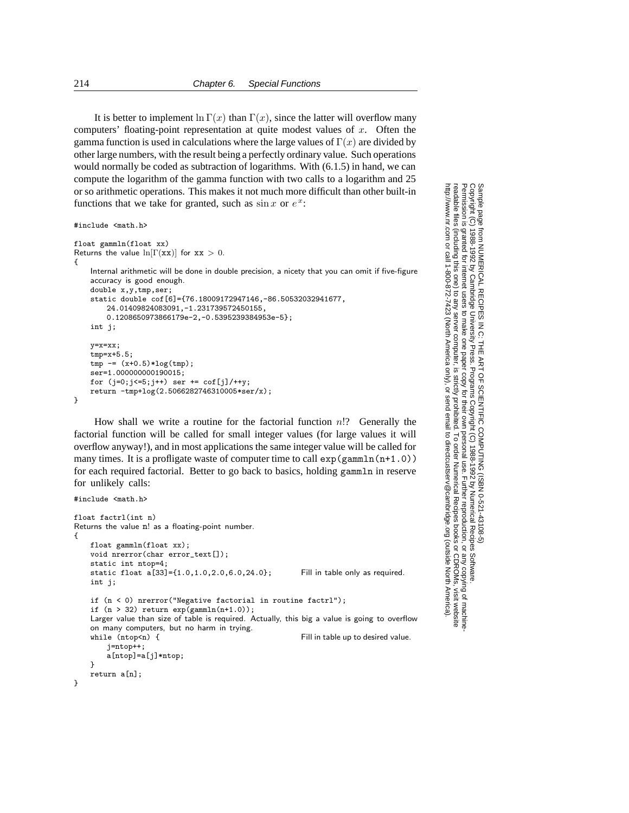It is better to implement  $\ln \Gamma(x)$  than  $\Gamma(x)$ , since the latter will overflow many computers' floating-point representation at quite modest values of  $x$ . Often the gamma function is used in calculations where the large values of  $\Gamma(x)$  are divided by other large numbers, with the result being a perfectly ordinary value. Such operations would normally be coded as subtraction of logarithms. With (6.1.5) in hand, we can compute the logarithm of the gamma function with two calls to a logarithm and 25 or so arithmetic operations. This makes it not much more difficult than other built-in functions that we take for granted, such as  $\sin x$  or  $e^x$ :

```
#include <math.h>
float gammln(float xx)
Returns the value \ln[\Gamma(x\bar{x})] for \bar{x}\bar{x} > 0.
{
    Internal arithmetic will be done in double precision, a nicety that you can omit if five-figure
    accuracy is good enough.
    double x,y,tmp,ser;
    static double cof[6]={76.18009172947146,-86.50532032941677,
        24.01409824083091,-1.231739572450155,
        0.1208650973866179e-2,-0.5395239384953e-5};
    int j;
    y=x=xx;
    tmp=x+5.5;
    tmp = (x+0.5)*log(tmp);ser=1.000000000190015;
    for (j=0; j<=5; j++) ser += \text{cof}[j]/++y;return -tmp+log(2.5066282746310005*ser/x);
}
```
How shall we write a routine for the factorial function  $n!$ ? Generally the factorial function will be called for small integer values (for large values it will overflow anyway!), and in most applications the same integer value will be called for many times. It is a profligate waste of computer time to call  $\exp(\text{gamma}(n+1.0))$ for each required factorial. Better to go back to basics, holding gammln in reserve for unlikely calls:

```
#include <math.h>
float factrl(int n)
Returns the value n! as a floating-point number.
{
    float gammln(float xx);
    void nrerror(char error_text[]);
    static int ntop=4;
    static float a[33]={1.0,1.0,2.0,6.0,24.0}; Fill in table only as required.
    int j;
    if (n < 0) nrerror("Negative factorial in routine factrl");
    if (n > 32) return exp(gammln(n+1.0));Larger value than size of table is required. Actually, this big a value is going to overflow
    on many computers, but no harm in trying.<br>while (ntop \le n) {
                                                           Fill in table up to desired value.
        j=ntop++;
        a[ntop]=a[j]*ntop;
    }
    return a[n];
}
```
Copyright (C) 1988-1992 by Cambridge University Press.Sample page from NUMERICAL RECIPES IN C: THE ART OF SCIENTIFIC COMPUTING (ISBN 0-521-43108-5) http://www.nr.com or call 1-800-872-7423 (North America only),readable files (including this one) to any serverPermission is granted for internet users to make one paper copy for their own personal use. Further reproduction, or any copyin computer, is strictly prohibited. To order Numerical Recipes booksPrograms Copyright (C) 1988-1992 by Numerical Recipes Software. SCIENTIFIC COMPUTING or send email to directcustserv@cambridge.org (outside North America). email to directcustserv@cambridge.org (outside North America). COMPUTING (ISBN 0-521-43108-5)<br>tt (C) 1988-1992 by Numerical Recipes Software.<br>personal use. Further reproduction, or any copying of machine-<br>I. To order Numerical Recipes books or CDROMs, visit website<br>I. To order Numeric or CDROMs, visit website g of machine-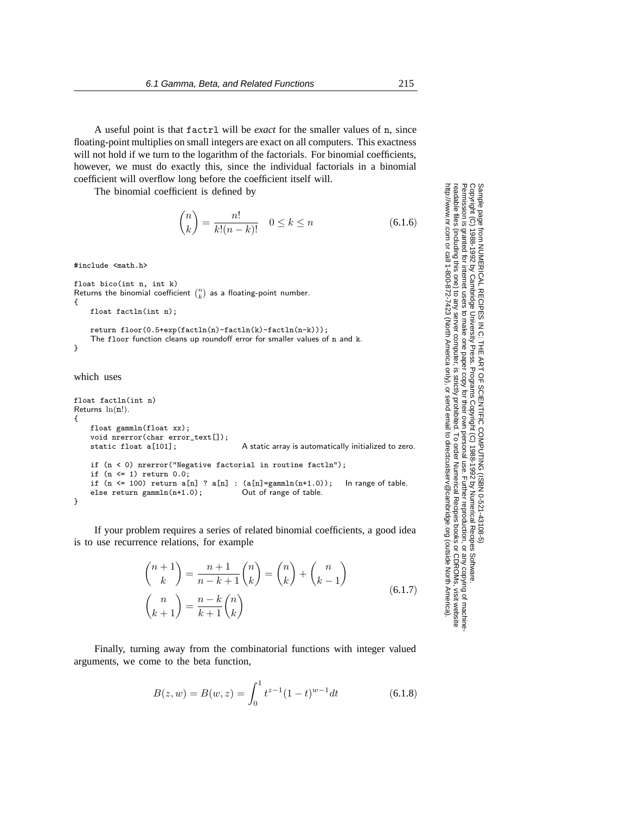A useful point is that factrl will be *exact* for the smaller values of n, since floating-point multiplies on small integers are exact on all computers. This exactness will not hold if we turn to the logarithm of the factorials. For binomial coefficients, however, we must do exactly this, since the individual factorials in a binomial coefficient will overflow long before the coefficient itself will.

The binomial coefficient is defined by

$$
\binom{n}{k} = \frac{n!}{k!(n-k)!} \quad 0 \le k \le n \tag{6.1.6}
$$

#include <math.h>

```
float bico(int n, int k)
Returns the binomial coefficient \binom{n}{k} as a floating-point number.
{
    float factln(int n);
```

```
return floor(0.5+exp(factln(n)-factln(k)-factln(n-k)));
    The floor function cleans up roundoff error for smaller values of n and k.
}
```
which uses

```
float factln(int n)
Returns ln(n!).
{
    float gammln(float xx);
    void nrerror(char error_text[]);<br>static float a[101];
                                            A static array is automatically initialized to zero.
    if (n < 0) nrerror("Negative factorial in routine factln");
    if (n \leq 1) return 0.0;
    if (n \le 100) return a[n] ? a[n] : (a[n] = \text{gamma}(n+1.0)); In range of table.
    else return gammln(n+1.0); Out of range of table.
}
```
If your problem requires a series of related binomial coefficients, a good idea is to use recurrence relations, for example

$$
\binom{n+1}{k} = \frac{n+1}{n-k+1} \binom{n}{k} = \binom{n}{k} + \binom{n}{k-1}
$$
\n
$$
\binom{n}{k+1} = \frac{n-k}{k+1} \binom{n}{k} \tag{6.1.7}
$$

Finally, turning away from the combinatorial functions with integer valued arguments, we come to the beta function,

$$
B(z, w) = B(w, z) = \int_0^1 t^{z-1} (1-t)^{w-1} dt
$$
 (6.1.8)

Permission is granted for internet users to make one paper copy for their own personal use. Further reproduction, or any copyin Copyright (C) 1988-1992 by Cambridge University Press.Programs Copyright (C) 1988-1992 by Numerical Recipes Software. Sample page from NUMERICAL RECIPES IN C: THE ART OF SCIENTIFIC COMPUTING (ISBN 0-521-43108-5) g of machinereadable files (including this one) to any servercomputer, is strictly prohibited. To order Numerical Recipes booksor CDROMs, visit website http://www.nr.com or call 1-800-872-7423 (North America only),or send email to directcustserv@cambridge.org (outside North America).